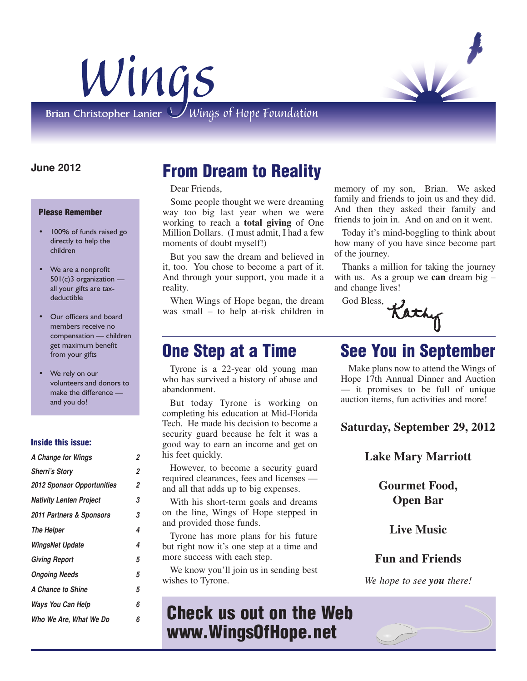



Brian Christopher Lanier  $\bigcup$  Wings of Hope Foundation

### **June 2012**

#### **Please Remember**

- 100% of funds raised go directly to help the children
- We are a nonprofit 501(c)3 organization all your gifts are taxdeductible
- Our officers and board members receive no compensation — children get maximum benefit from your gifts
- We rely on our volunteers and donors to make the difference and you do!

#### **Inside this issue:**

| A Change for Wings                | 2 |
|-----------------------------------|---|
| <b>Sherri's Story</b>             | 2 |
| <b>2012 Sponsor Opportunities</b> | 2 |
| <b>Nativity Lenten Project</b>    | 3 |
| 2011 Partners & Sponsors          | 3 |
| The Helper                        | 4 |
| <b>WingsNet Update</b>            | 4 |
| <b>Giving Report</b>              | 5 |
| <b>Ongoing Needs</b>              | 5 |
| A Chance to Shine                 | 5 |
| Ways You Can Help                 | 6 |
| Who We Are. What We Do            | 6 |
|                                   |   |

## **From Dream to Reality**

Dear Friends,

Some people thought we were dreaming way too big last year when we were working to reach a **total giving** of One Million Dollars. (I must admit, I had a few moments of doubt myself!)

But you saw the dream and believed in it, too. You chose to become a part of it. And through your support, you made it a reality.

When Wings of Hope began, the dream was small – to help at-risk children in

Tyrone is a 22-year old young man who has survived a history of abuse and abandonment.

But today Tyrone is working on completing his education at Mid-Florida Tech. He made his decision to become a security guard because he felt it was a good way to earn an income and get on his feet quickly.

However, to become a security guard required clearances, fees and licenses and all that adds up to big expenses.

With his short-term goals and dreams on the line, Wings of Hope stepped in and provided those funds.

Tyrone has more plans for his future but right now it's one step at a time and more success with each step.

We know you'll join us in sending best wishes to Tyrone.

## **Check us out on the Web www.WingsOfHope.net**

memory of my son, Brian. We asked family and friends to join us and they did. And then they asked their family and friends to join in. And on and on it went.

Today it's mind-boggling to think about how many of you have since become part of the journey.

Thanks a million for taking the journey with us. As a group we **can** dream big – and change lives!

God Bless,

Kathy

# **One Step at a Time See You in September**

Make plans now to attend the Wings of Hope 17th Annual Dinner and Auction — it promises to be full of unique auction items, fun activities and more!

**Saturday, September 29, 2012**

**Lake Mary Marriott**

**Gourmet Food, Open Bar**

**Live Music**

### **Fun and Friends**

*We hope to see you there!* 

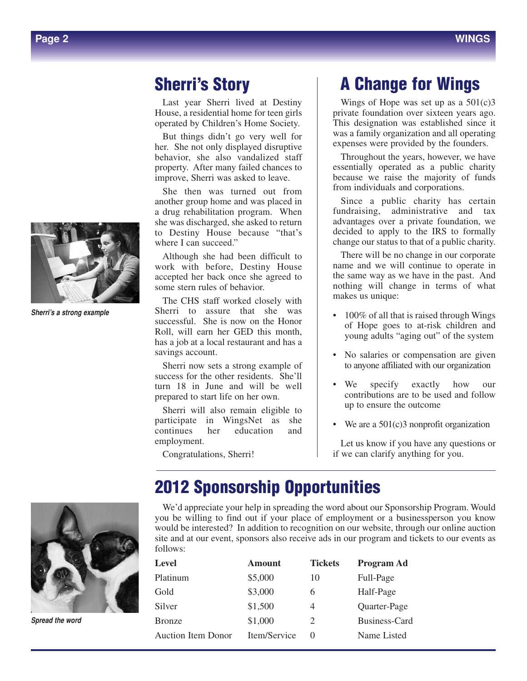*Sherri's a strong example*

## **Sherri's Story**

Last year Sherri lived at Destiny House, a residential home for teen girls operated by Children's Home Society.

But things didn't go very well for her. She not only displayed disruptive behavior, she also vandalized staff property. After many failed chances to improve, Sherri was asked to leave.

She then was turned out from another group home and was placed in a drug rehabilitation program. When she was discharged, she asked to return to Destiny House because "that's where I can succeed."

Although she had been difficult to work with before, Destiny House accepted her back once she agreed to some stern rules of behavior.

The CHS staff worked closely with Sherri to assure that she was successful. She is now on the Honor Roll, will earn her GED this month, has a job at a local restaurant and has a savings account.

Sherri now sets a strong example of success for the other residents. She'll turn 18 in June and will be well prepared to start life on her own.

Sherri will also remain eligible to participate in WingsNet as she continues her education and employment.

Congratulations, Sherri!

# **A Change for Wings**

Wings of Hope was set up as a  $501(c)3$ private foundation over sixteen years ago. This designation was established since it was a family organization and all operating expenses were provided by the founders.

Throughout the years, however, we have essentially operated as a public charity because we raise the majority of funds from individuals and corporations.

Since a public charity has certain fundraising, administrative and tax advantages over a private foundation, we decided to apply to the IRS to formally change our status to that of a public charity.

There will be no change in our corporate name and we will continue to operate in the same way as we have in the past. And nothing will change in terms of what makes us unique:

- 100% of all that is raised through Wings of Hope goes to at-risk children and young adults "aging out" of the system
- No salaries or compensation are given to anyone affiliated with our organization
- We specify exactly how our contributions are to be used and follow up to ensure the outcome
- We are a 501(c)3 nonprofit organization

Let us know if you have any questions or if we can clarify anything for you.

*Spread the word*

# **2012 Sponsorship Opportunities**

We'd appreciate your help in spreading the word about our Sponsorship Program. Would you be willing to find out if your place of employment or a businessperson you know would be interested? In addition to recognition on our website, through our online auction site and at our event, sponsors also receive ads in our program and tickets to our events as follows:

| <b>Amount</b> | <b>Tickets</b> | Program Ad    |
|---------------|----------------|---------------|
| \$5,000       | 10             | Full-Page     |
| \$3,000       | 6              | Half-Page     |
| \$1,500       | 4              | Quarter-Page  |
| \$1,000       | 2              | Business-Card |
| Item/Service  |                | Name Listed   |
|               |                |               |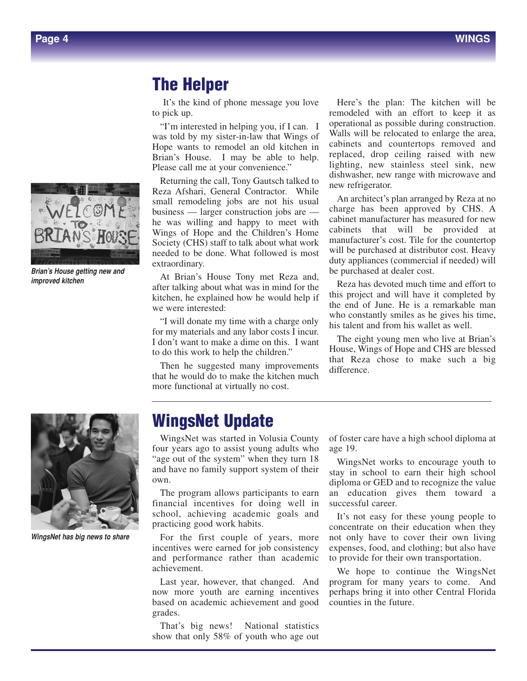

*Brian's House getting new and improved kitchen*

### **The Helper**

It's the kind of phone message you love to pick up.

"I'm interested in helping you, if I can. I was told by my sister-in-law that Wings of Hope wants to remodel an old kitchen in Brian's House. I may be able to help. Please call me at your convenience."

Returning the call, Tony Gautsch talked to Reza Afshari, General Contractor. While small remodeling jobs are not his usual business — larger construction jobs are he was willing and happy to meet with Wings of Hope and the Children's Home Society (CHS) staff to talk about what work needed to be done. What followed is most extraordinary.

At Brian's House Tony met Reza and, after talking about what was in mind for the kitchen, he explained how he would help if we were interested:

"I will donate my time with a charge only for my materials and any labor costs I incur. I don't want to make a dime on this. I want to do this work to help the children."

Then he suggested many improvements that he would do to make the kitchen much more functional at virtually no cost.

Here's the plan: The kitchen will be remodeled with an effort to keep it as operational as possible during construction. Walls will be relocated to enlarge the area. cabinets and countertops removed and replaced, drop ceiling raised with new lighting, new stainless steel sink, new dishwasher, new range with microwave and new refrigerator.

An architect's plan arranged by Reza at no charge has been approved by CHS. A cabinet manufacturer has measured for new cabinets that will be provided at manufacturer's cost. Tile for the countertop will be purchased at distributor cost. Heavy duty appliances (commercial if needed) will be purchased at dealer cost.

Reza has devoted much time and effort to this project and will have it completed by the end of June. He is a remarkable man who constantly smiles as he gives his time, his talent and from his wallet as well.

The eight young men who live at Brian's House, Wings of Hope and CHS are blessed that Reza chose to make such a big difference.



*WingsNet has big news to share*

## **WingsNet Update**

WingsNet was started in Volusia County four years ago to assist young adults who "age out of the system" when they turn 18 and have no family support system of their own.

The program allows participants to earn financial incentives for doing well in school, achieving academic goals and practicing good work habits.

For the first couple of years, more incentives were earned for job consistency and performance rather than academic achievement.

Last year, however, that changed. And now more youth are earning incentives based on academic achievement and good grades.

That's big news! National statistics show that only 58% of youth who age out of foster care have a high school diploma at age 19.

WingsNet works to encourage youth to stay in school to earn their high school diploma or GED and to recognize the value an education gives them toward a successful career.

It's not easy for these young people to concentrate on their education when they not only have to cover their own living expenses, food, and clothing; but also have to provide for their own transportation.

We hope to continue the WingsNet program for many years to come. And perhaps bring it into other Central Florida counties in the future.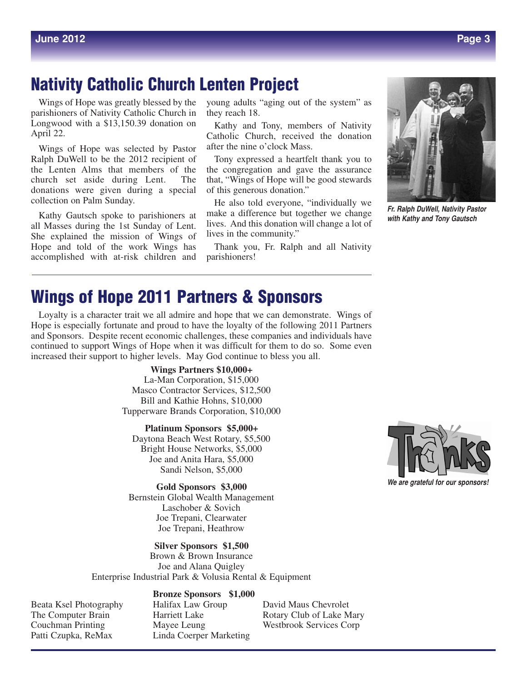## **Nativity Catholic Church Lenten Project**

Wings of Hope was greatly blessed by the parishioners of Nativity Catholic Church in Longwood with a \$13,150.39 donation on April 22.

Wings of Hope was selected by Pastor Ralph DuWell to be the 2012 recipient of the Lenten Alms that members of the church set aside during Lent. The donations were given during a special collection on Palm Sunday.

Kathy Gautsch spoke to parishioners at all Masses during the 1st Sunday of Lent. She explained the mission of Wings of Hope and told of the work Wings has accomplished with at-risk children and

young adults "aging out of the system" as they reach 18.

Kathy and Tony, members of Nativity Catholic Church, received the donation after the nine o'clock Mass.

Tony expressed a heartfelt thank you to the congregation and gave the assurance that, "Wings of Hope will be good stewards of this generous donation."

He also told everyone, "individually we make a difference but together we change lives. And this donation will change a lot of lives in the community."

Thank you, Fr. Ralph and all Nativity parishioners!

# **Wings of Hope 2011 Partners & Sponsors**

Loyalty is a character trait we all admire and hope that we can demonstrate. Wings of Hope is especially fortunate and proud to have the loyalty of the following 2011 Partners and Sponsors. Despite recent economic challenges, these companies and individuals have continued to support Wings of Hope when it was difficult for them to do so. Some even increased their support to higher levels. May God continue to bless you all.

> **Wings Partners \$10,000+** La-Man Corporation, \$15,000 Masco Contractor Services, \$12,500 Bill and Kathie Hohns, \$10,000 Tupperware Brands Corporation, \$10,000

**Platinum Sponsors \$5,000+** Daytona Beach West Rotary, \$5,500 Bright House Networks, \$5,000 Joe and Anita Hara, \$5,000 Sandi Nelson, \$5,000

**Gold Sponsors \$3,000** Bernstein Global Wealth Management Laschober & Sovich Joe Trepani, Clearwater Joe Trepani, Heathrow

**Silver Sponsors \$1,500** Brown & Brown Insurance Joe and Alana Quigley Enterprise Industrial Park & Volusia Rental & Equipment

#### **Bronze Sponsors \$1,000**

Beata Ksel Photography Halifax Law Group David Maus Chevrolet Couchman Printing Mayee Leung Westbrook Services Corp Patti Czupka, ReMax Linda Coerper Marketing

The Computer Brain **Harriett Lake** Rotary Club of Lake Mary



*Fr. Ralph DuWell, Nativity Pastor with Kathy and Tony Gautsch*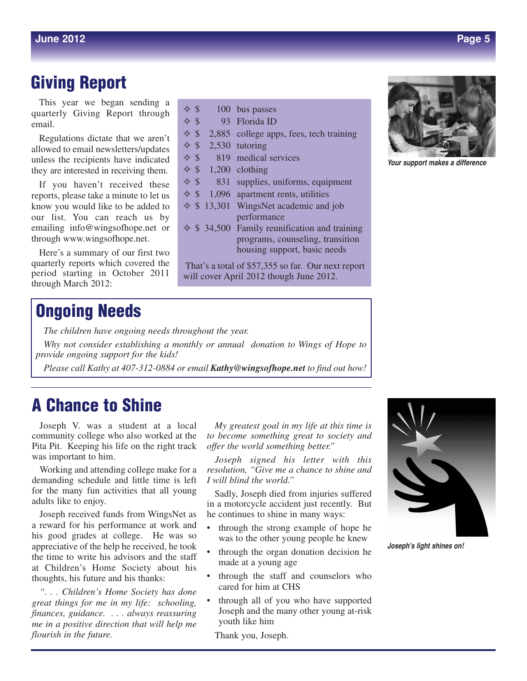## **Giving Report**

This year we began sending a quarterly Giving Report through email.

Regulations dictate that we aren't allowed to email newsletters/updates unless the recipients have indicated they are interested in receiving them.

If you haven't received these reports, please take a minute to let us know you would like to be added to our list. You can reach us by emailing info@wingsofhope.net or through www.wingsofhope.net.

Here's a summary of our first two quarterly reports which covered the period starting in October 2011 through March 2012:

## **Ongoing Needs**

*The children have ongoing needs throughout the year.*

*Why not consider establishing a monthly or annual donation to Wings of Hope to provide ongoing support for the kids!*

 $\Leftrightarrow$  \$ 100 bus passes ✧ \$ 93 Florida ID

 $\Leftrightarrow$  \$ 2,530 tutoring

 $\Leftrightarrow$  \$ 1,200 clothing

 $\Leftrightarrow$  \$ 819 medical services

 $\Leftrightarrow$  \$ 2,885 college apps, fees, tech training

 $\Leftrightarrow$  \$ 831 supplies, uniforms, equipment  $\Leftrightarrow$  \$ 1,096 apartment rents, utilities ✧ \$ 13,301 WingsNet academic and job performance  $\Leftrightarrow$  \$ 34,500 Family reunification and training

That's a total of \$57,355 so far. Our next report

will cover April 2012 though June 2012.

programs, counseling, transition housing support, basic needs

*Please call Kathy at 407-312-0884 or email Kathy@wingsofhope.net to find out how!*

## **A Chance to Shine**

Joseph V. was a student at a local community college who also worked at the Pita Pit. Keeping his life on the right track was important to him.

Working and attending college make for a demanding schedule and little time is left for the many fun activities that all young adults like to enjoy.

Joseph received funds from WingsNet as a reward for his performance at work and his good grades at college. He was so appreciative of the help he received, he took the time to write his advisors and the staff at Children's Home Society about his thoughts, his future and his thanks:

*". . . Children's Home Society has done great things for me in my life: schooling, finances, guidance. . . . always reassuring me in a positive direction that will help me flourish in the future.*

*My greatest goal in my life at this time is to become something great to society and offer the world something better."*

*Joseph signed his letter with this resolution, "Give me a chance to shine and I will blind the world."*

Sadly, Joseph died from injuries suffered in a motorcycle accident just recently. But he continues to shine in many ways:

- through the strong example of hope he was to the other young people he knew
- through the organ donation decision he made at a young age
- through the staff and counselors who cared for him at CHS
- through all of you who have supported Joseph and the many other young at-risk youth like him

Thank you, Joseph.



*Your support makes a difference*